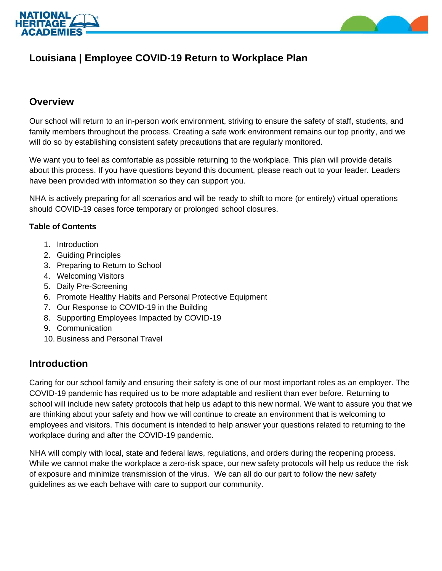



# **Louisiana | Employee COVID-19 Return to Workplace Plan**

### **Overview**

Our school will return to an in-person work environment, striving to ensure the safety of staff, students, and family members throughout the process. Creating a safe work environment remains our top priority, and we will do so by establishing consistent safety precautions that are regularly monitored.

We want you to feel as comfortable as possible returning to the workplace. This plan will provide details about this process. If you have questions beyond this document, please reach out to your leader. Leaders have been provided with information so they can support you.

NHA is actively preparing for all scenarios and will be ready to shift to more (or entirely) virtual operations should COVID-19 cases force temporary or prolonged school closures.

#### **Table of Contents**

- 1. Introduction
- 2. Guiding Principles
- 3. Preparing to Return to School
- 4. Welcoming Visitors
- 5. Daily Pre-Screening
- 6. Promote Healthy Habits and Personal Protective Equipment
- 7. Our Response to COVID-19 in the Building
- 8. Supporting Employees Impacted by COVID-19
- 9. Communication
- 10. Business and Personal Travel

### **Introduction**

Caring for our school family and ensuring their safety is one of our most important roles as an employer. The COVID-19 pandemic has required us to be more adaptable and resilient than ever before. Returning to school will include new safety protocols that help us adapt to this new normal. We want to assure you that we are thinking about your safety and how we will continue to create an environment that is welcoming to employees and visitors. This document is intended to help answer your questions related to returning to the workplace during and after the COVID-19 pandemic.

NHA will comply with local, state and federal laws, regulations, and orders during the reopening process. While we cannot make the workplace a zero-risk space, our new safety protocols will help us reduce the risk of exposure and minimize transmission of the virus. We can all do our part to follow the new safety guidelines as we each behave with care to support our community.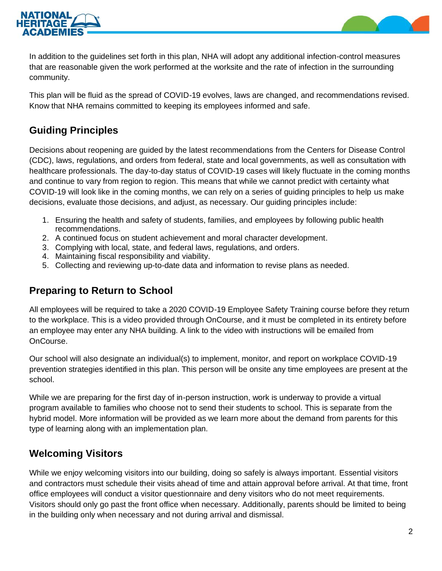



In addition to the guidelines set forth in this plan, NHA will adopt any additional infection-control measures that are reasonable given the work performed at the worksite and the rate of infection in the surrounding community.

This plan will be fluid as the spread of COVID-19 evolves, laws are changed, and recommendations revised. Know that NHA remains committed to keeping its employees informed and safe.

# **Guiding Principles**

Decisions about reopening are guided by the latest recommendations from the Centers for Disease Control (CDC), laws, regulations, and orders from federal, state and local governments, as well as consultation with healthcare professionals. The day-to-day status of COVID-19 cases will likely fluctuate in the coming months and continue to vary from region to region. This means that while we cannot predict with certainty what COVID-19 will look like in the coming months, we can rely on a series of guiding principles to help us make decisions, evaluate those decisions, and adjust, as necessary. Our guiding principles include:

- 1. Ensuring the health and safety of students, families, and employees by following public health recommendations.
- 2. A continued focus on student achievement and moral character development.
- 3. Complying with local, state, and federal laws, regulations, and orders.
- 4. Maintaining fiscal responsibility and viability.
- 5. Collecting and reviewing up-to-date data and information to revise plans as needed.

# **Preparing to Return to School**

All employees will be required to take a 2020 COVID-19 Employee Safety Training course before they return to the workplace. This is a video provided through OnCourse, and it must be completed in its entirety before an employee may enter any NHA building. A link to the video with instructions will be emailed from OnCourse.

Our school will also designate an individual(s) to implement, monitor, and report on workplace COVID-19 prevention strategies identified in this plan. This person will be onsite any time employees are present at the school.

While we are preparing for the first day of in-person instruction, work is underway to provide a virtual program available to families who choose not to send their students to school. This is separate from the hybrid model. More information will be provided as we learn more about the demand from parents for this type of learning along with an implementation plan.

# **Welcoming Visitors**

While we enjoy welcoming visitors into our building, doing so safely is always important. Essential visitors and contractors must schedule their visits ahead of time and attain approval before arrival. At that time, front office employees will conduct a visitor questionnaire and deny visitors who do not meet requirements. Visitors should only go past the front office when necessary. Additionally, parents should be limited to being in the building only when necessary and not during arrival and dismissal.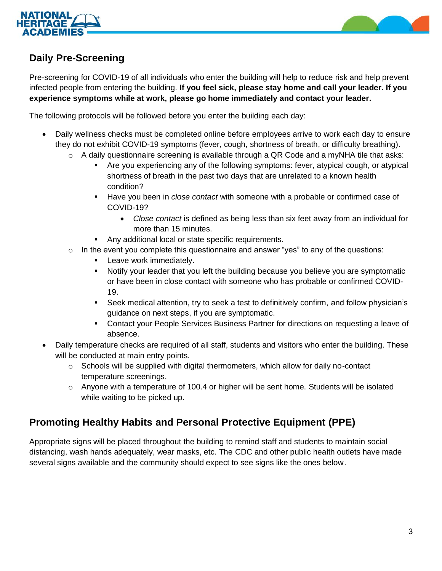



# **Daily Pre-Screening**

Pre-screening for COVID-19 of all individuals who enter the building will help to reduce risk and help prevent infected people from entering the building. **If you feel sick, please stay home and call your leader. If you experience symptoms while at work, please go home immediately and contact your leader.**

The following protocols will be followed before you enter the building each day:

- Daily wellness checks must be completed online before employees arrive to work each day to ensure they do not exhibit COVID-19 symptoms (fever, cough, shortness of breath, or difficulty breathing).
	- o A daily questionnaire screening is available through a QR Code and a myNHA tile that asks:
		- Are you experiencing any of the following symptoms: fever, atypical cough, or atypical shortness of breath in the past two days that are unrelated to a known health condition?
		- Have you been in *close contact* with someone with a probable or confirmed case of COVID-19?
			- *Close contact* is defined as being less than six feet away from an individual for more than 15 minutes.
		- Any additional local or state specific requirements.
	- o In the event you complete this questionnaire and answer "yes" to any of the questions:
		- **EXEC** Leave work immediately.
		- Notify your leader that you left the building because you believe you are symptomatic or have been in close contact with someone who has probable or confirmed COVID-19.
		- Seek medical attention, try to seek a test to definitively confirm, and follow physician's guidance on next steps, if you are symptomatic.
		- Contact your People Services Business Partner for directions on requesting a leave of absence.
- Daily temperature checks are required of all staff, students and visitors who enter the building. These will be conducted at main entry points.
	- $\circ$  Schools will be supplied with digital thermometers, which allow for daily no-contact temperature screenings.
	- o Anyone with a temperature of 100.4 or higher will be sent home. Students will be isolated while waiting to be picked up.

# **Promoting Healthy Habits and Personal Protective Equipment (PPE)**

Appropriate signs will be placed throughout the building to remind staff and students to maintain social distancing, wash hands adequately, wear masks, etc. The CDC and other public health outlets have made several signs available and the community should expect to see signs like the ones below.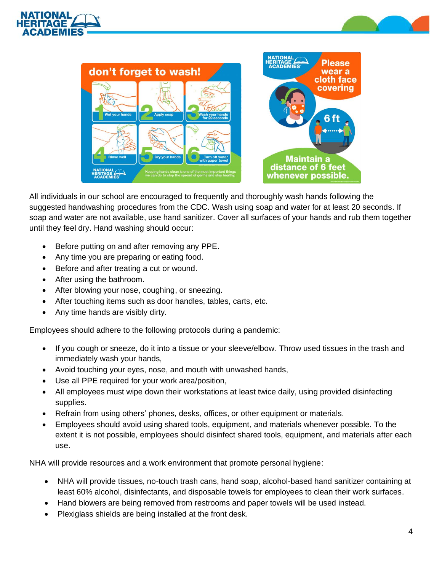



All individuals in our school are encouraged to frequently and thoroughly wash hands following the suggested handwashing procedures from the CDC. Wash using soap and water for at least 20 seconds. If soap and water are not available, use hand sanitizer. Cover all surfaces of your hands and rub them together until they feel dry. Hand washing should occur:

- Before putting on and after removing any PPE.
- Any time you are preparing or eating food.
- Before and after treating a cut or wound.
- After using the bathroom.
- After blowing your nose, coughing, or sneezing.
- After touching items such as door handles, tables, carts, etc.
- Any time hands are visibly dirty.

Employees should adhere to the following protocols during a pandemic:

- If you cough or sneeze, do it into a tissue or your sleeve/elbow. Throw used tissues in the trash and immediately wash your hands,
- Avoid touching your eyes, nose, and mouth with unwashed hands,
- Use all PPE required for your work area/position,
- All employees must wipe down their workstations at least twice daily, using provided disinfecting supplies.
- Refrain from using others' phones, desks, offices, or other equipment or materials.
- Employees should avoid using shared tools, equipment, and materials whenever possible. To the extent it is not possible, employees should disinfect shared tools, equipment, and materials after each use.

NHA will provide resources and a work environment that promote personal hygiene:

- NHA will provide tissues, no-touch trash cans, hand soap, alcohol-based hand sanitizer containing at least 60% alcohol, disinfectants, and disposable towels for employees to clean their work surfaces.
- Hand blowers are being removed from restrooms and paper towels will be used instead.
- Plexiglass shields are being installed at the front desk.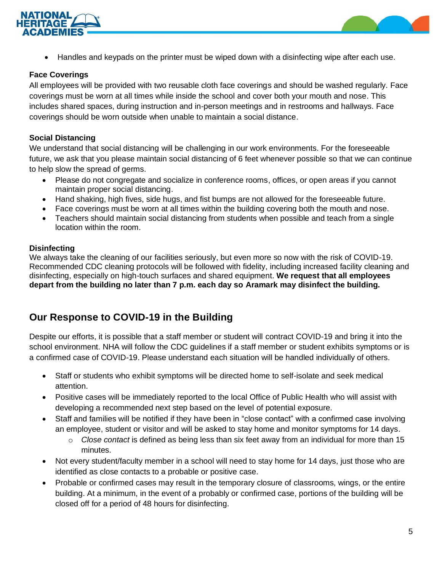



• Handles and keypads on the printer must be wiped down with a disinfecting wipe after each use.

#### **Face Coverings**

All employees will be provided with two reusable cloth face coverings and should be washed regularly. Face coverings must be worn at all times while inside the school and cover both your mouth and nose. This includes shared spaces, during instruction and in-person meetings and in restrooms and hallways. Face coverings should be worn outside when unable to maintain a social distance.

#### **Social Distancing**

We understand that social distancing will be challenging in our work environments. For the foreseeable future, we ask that you please maintain social distancing of 6 feet whenever possible so that we can continue to help slow the spread of germs.

- Please do not congregate and socialize in conference rooms, offices, or open areas if you cannot maintain proper social distancing.
- Hand shaking, high fives, side hugs, and fist bumps are not allowed for the foreseeable future.
- Face coverings must be worn at all times within the building covering both the mouth and nose.
- Teachers should maintain social distancing from students when possible and teach from a single location within the room.

#### **Disinfecting**

We always take the cleaning of our facilities seriously, but even more so now with the risk of COVID-19. Recommended CDC cleaning protocols will be followed with fidelity, including increased facility cleaning and disinfecting, especially on high-touch surfaces and shared equipment. **We request that all employees depart from the building no later than 7 p.m. each day so Aramark may disinfect the building.**

### **Our Response to COVID-19 in the Building**

Despite our efforts, it is possible that a staff member or student will contract COVID-19 and bring it into the school environment. NHA will follow the CDC guidelines if a staff member or student exhibits symptoms or is a confirmed case of COVID-19. Please understand each situation will be handled individually of others.

- Staff or students who exhibit symptoms will be directed home to self-isolate and seek medical attention.
- Positive cases will be immediately reported to the local Office of Public Health who will assist with developing a recommended next step based on the level of potential exposure.
- Staff and families will be notified if they have been in "close contact" with a confirmed case involving an employee, student or visitor and will be asked to stay home and monitor symptoms for 14 days.
	- o *Close contact* is defined as being less than six feet away from an individual for more than 15 minutes.
- Not every student/faculty member in a school will need to stay home for 14 days, just those who are identified as close contacts to a probable or positive case.
- Probable or confirmed cases may result in the temporary closure of classrooms, wings, or the entire building. At a minimum, in the event of a probably or confirmed case, portions of the building will be closed off for a period of 48 hours for disinfecting.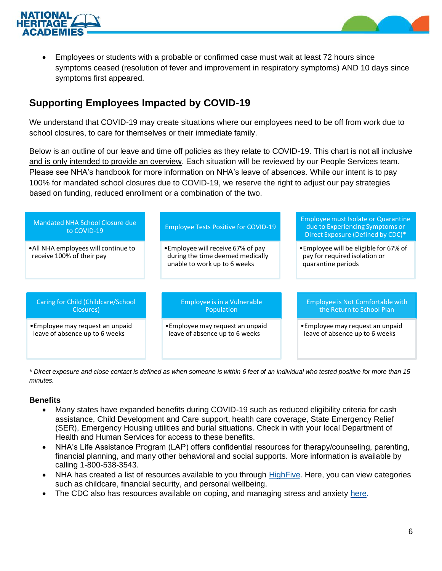



• Employees or students with a probable or confirmed case must wait at least 72 hours since symptoms ceased (resolution of fever and improvement in respiratory symptoms) AND 10 days since symptoms first appeared.

## **Supporting Employees Impacted by COVID-19**

We understand that COVID-19 may create situations where our employees need to be off from work due to school closures, to care for themselves or their immediate family.

Below is an outline of our leave and time off policies as they relate to COVID-19. This chart is not all inclusive and is only intended to provide an overview. Each situation will be reviewed by our People Services team. Please see NHA's handbook for more information on NHA's leave of absences. While our intent is to pay 100% for mandated school closures due to COVID-19, we reserve the right to adjust our pay strategies based on funding, reduced enrollment or a combination of the two.



*\* Direct exposure and close contact is defined as when someone is within 6 feet of an individual who tested positive for more than 15 minutes.*

#### **Benefits**

- Many states have expanded benefits during COVID-19 such as reduced eligibility criteria for cash assistance, Child Development and Care support, health care coverage, State Emergency Relief (SER), Emergency Housing utilities and burial situations. Check in with your local Department of Health and Human Services for access to these benefits.
- NHA's Life Assistance Program (LAP) offers confidential resources for therapy/counseling, parenting, financial planning, and many other behavioral and social supports. More information is available by calling 1-800-538-3543.
- NHA has created a list of resources available to you through **HighFive**. Here, you can view categories such as childcare, financial security, and personal wellbeing.
- The CDC also has resources available on coping, and managing stress and anxiety [here.](https://www.cdc.gov/coronavirus/2019-ncov/daily-life-coping/managing-stress-anxiety.html)